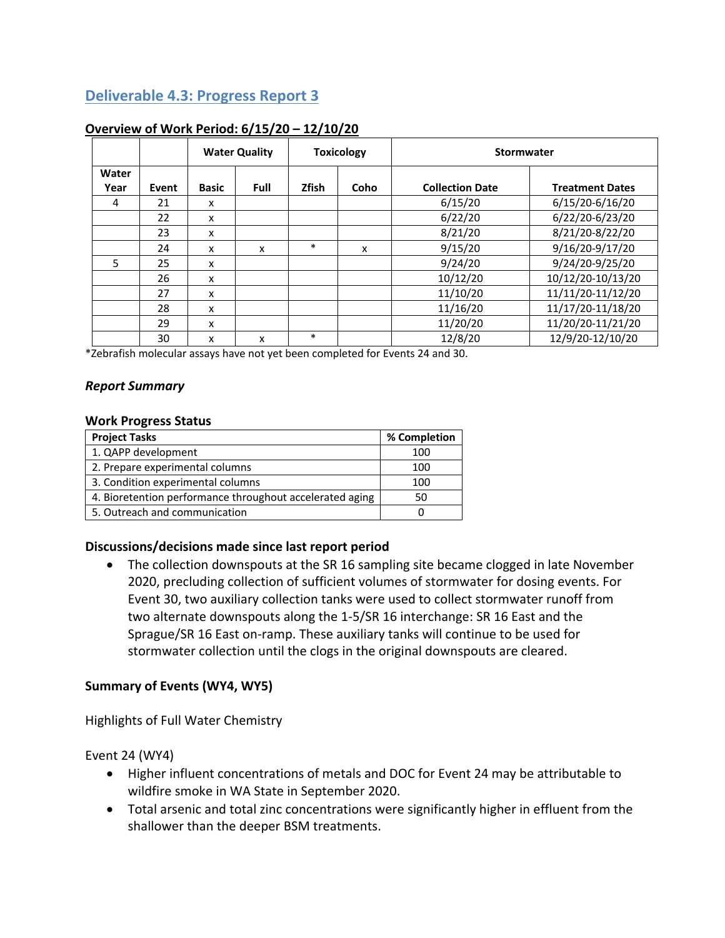## **Deliverable 4.3: Progress Report 3**

|               |       |              | <b>Water Quality</b> |              | <b>Toxicology</b> | Stormwater             |                        |
|---------------|-------|--------------|----------------------|--------------|-------------------|------------------------|------------------------|
| Water<br>Year | Event | <b>Basic</b> | Full                 | <b>Zfish</b> | Coho              | <b>Collection Date</b> | <b>Treatment Dates</b> |
| 4             | 21    | x            |                      |              |                   | 6/15/20                | 6/15/20-6/16/20        |
|               | 22    | X            |                      |              |                   | 6/22/20                | 6/22/20-6/23/20        |
|               | 23    | x            |                      |              |                   | 8/21/20                | 8/21/20-8/22/20        |
|               | 24    | x            | x                    | $\ast$       | x                 | 9/15/20                | 9/16/20-9/17/20        |
| 5             | 25    | x            |                      |              |                   | 9/24/20                | 9/24/20-9/25/20        |
|               | 26    | x            |                      |              |                   | 10/12/20               | 10/12/20-10/13/20      |
|               | 27    | x            |                      |              |                   | 11/10/20               | 11/11/20-11/12/20      |
|               | 28    | x            |                      |              |                   | 11/16/20               | 11/17/20-11/18/20      |
|               | 29    | x            |                      |              |                   | 11/20/20               | 11/20/20-11/21/20      |
|               | 30    | x            | x                    | $\ast$       |                   | 12/8/20                | 12/9/20-12/10/20       |

### **Overview of Work Period: 6/15/20 – 12/10/20**

\*Zebrafish molecular assays have not yet been completed for Events 24 and 30.

### *Report Summary*

#### **Work Progress Status**

| <b>Project Tasks</b>                                     | % Completion |
|----------------------------------------------------------|--------------|
| 1. QAPP development                                      | 100          |
| 2. Prepare experimental columns                          | 100          |
| 3. Condition experimental columns                        | 100          |
| 4. Bioretention performance throughout accelerated aging | 50           |
| 5. Outreach and communication                            |              |

### **Discussions/decisions made since last report period**

• The collection downspouts at the SR 16 sampling site became clogged in late November 2020, precluding collection of sufficient volumes of stormwater for dosing events. For Event 30, two auxiliary collection tanks were used to collect stormwater runoff from two alternate downspouts along the 1-5/SR 16 interchange: SR 16 East and the Sprague/SR 16 East on-ramp. These auxiliary tanks will continue to be used for stormwater collection until the clogs in the original downspouts are cleared.

### **Summary of Events (WY4, WY5)**

Highlights of Full Water Chemistry

Event 24 (WY4)

- Higher influent concentrations of metals and DOC for Event 24 may be attributable to wildfire smoke in WA State in September 2020.
- Total arsenic and total zinc concentrations were significantly higher in effluent from the shallower than the deeper BSM treatments.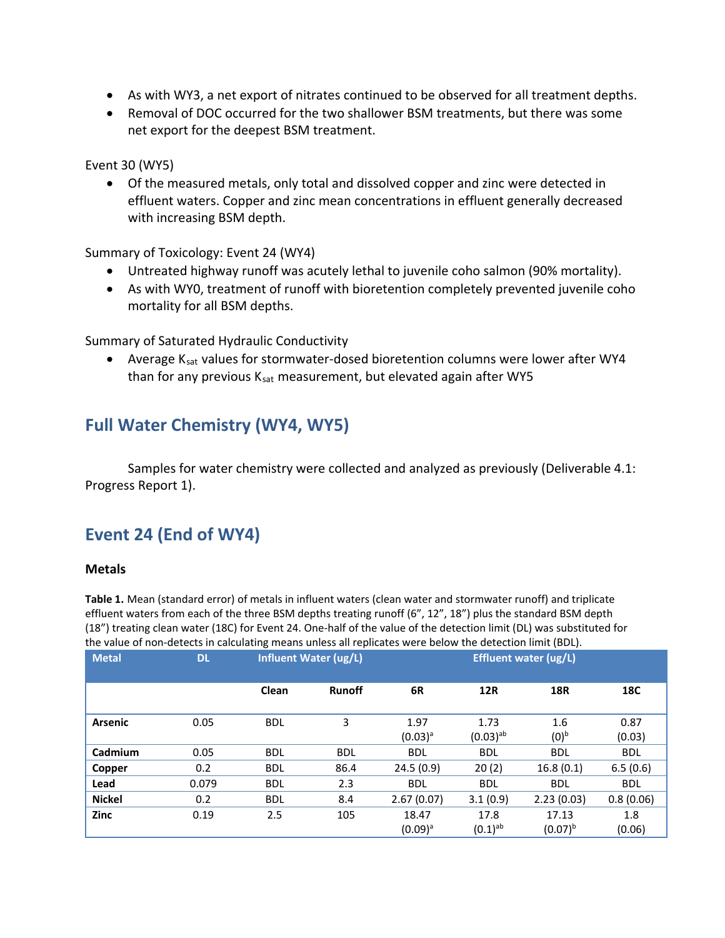- As with WY3, a net export of nitrates continued to be observed for all treatment depths.
- Removal of DOC occurred for the two shallower BSM treatments, but there was some net export for the deepest BSM treatment.

Event 30 (WY5)

• Of the measured metals, only total and dissolved copper and zinc were detected in effluent waters. Copper and zinc mean concentrations in effluent generally decreased with increasing BSM depth.

Summary of Toxicology: Event 24 (WY4)

- Untreated highway runoff was acutely lethal to juvenile coho salmon (90% mortality).
- As with WY0, treatment of runoff with bioretention completely prevented juvenile coho mortality for all BSM depths.

Summary of Saturated Hydraulic Conductivity

• Average K<sub>sat</sub> values for stormwater-dosed bioretention columns were lower after WY4 than for any previous  $K<sub>sat</sub>$  measurement, but elevated again after WY5

# **Full Water Chemistry (WY4, WY5)**

Samples for water chemistry were collected and analyzed as previously (Deliverable 4.1: Progress Report 1).

# **Event 24 (End of WY4)**

### **Metals**

**Table 1.** Mean (standard error) of metals in influent waters (clean water and stormwater runoff) and triplicate effluent waters from each of the three BSM depths treating runoff (6", 12", 18") plus the standard BSM depth (18") treating clean water (18C) for Event 24. One-half of the value of the detection limit (DL) was substituted for the value of non-detects in calculating means unless all replicates were below the detection limit (BDL).

| <b>Metal</b>   | <b>DL</b> |            | <b>Influent Water (ug/L)</b> | <b>Effluent water (ug/L)</b> |                                |                         |                |
|----------------|-----------|------------|------------------------------|------------------------------|--------------------------------|-------------------------|----------------|
|                |           | Clean      | <b>Runoff</b>                | 6R                           | <b>12R</b>                     | <b>18R</b>              | 18C            |
| <b>Arsenic</b> | 0.05      | <b>BDL</b> | 3                            | 1.97<br>$(0.03)^a$           | 1.73<br>$(0.03)$ <sup>ab</sup> | 1.6<br>(0) <sup>b</sup> | 0.87<br>(0.03) |
| Cadmium        | 0.05      | <b>BDL</b> | <b>BDL</b>                   | <b>BDL</b>                   | <b>BDL</b>                     | <b>BDL</b>              | <b>BDL</b>     |
| Copper         | 0.2       | <b>BDL</b> | 86.4                         | 24.5(0.9)                    | 20(2)                          | 16.8(0.1)               | 6.5(0.6)       |
| Lead           | 0.079     | <b>BDL</b> | 2.3                          | <b>BDL</b>                   | <b>BDL</b>                     | <b>BDL</b>              | <b>BDL</b>     |
| <b>Nickel</b>  | 0.2       | <b>BDL</b> | 8.4                          | 2.67(0.07)                   | 3.1(0.9)                       | 2.23(0.03)              | 0.8(0.06)      |
| Zinc           | 0.19      | 2.5        | 105                          | 18.47<br>17.8                |                                | 17.13                   | 1.8            |
|                |           |            |                              | $(0.09)^a$                   | $(0.1)$ <sup>ab</sup>          | $(0.07)^{b}$            | (0.06)         |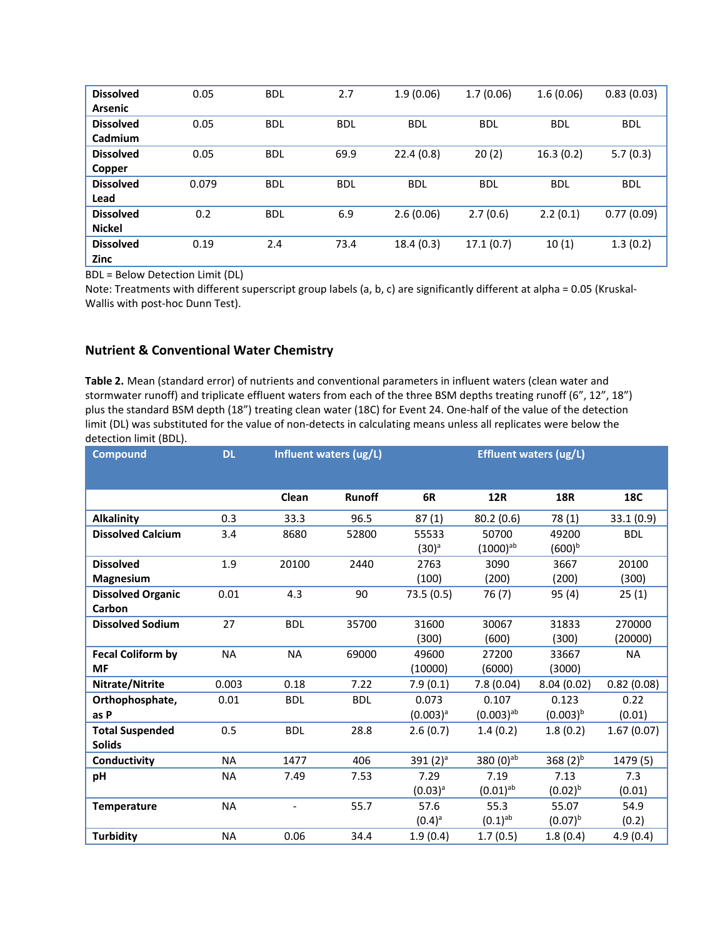| <b>Dissolved</b> | 0.05  | <b>BDL</b> | 2.7        | 1.9(0.06)  | 1.7(0.06)  | 1.6(0.06)  | 0.83(0.03) |
|------------------|-------|------------|------------|------------|------------|------------|------------|
| <b>Arsenic</b>   |       |            |            |            |            |            |            |
| <b>Dissolved</b> | 0.05  | <b>BDL</b> | <b>BDL</b> | <b>BDL</b> | <b>BDL</b> | <b>BDL</b> | <b>BDL</b> |
| Cadmium          |       |            |            |            |            |            |            |
| <b>Dissolved</b> | 0.05  | <b>BDL</b> | 69.9       | 22.4(0.8)  | 20(2)      | 16.3(0.2)  | 5.7(0.3)   |
| Copper           |       |            |            |            |            |            |            |
| <b>Dissolved</b> | 0.079 | <b>BDL</b> | <b>BDL</b> | <b>BDL</b> | <b>BDL</b> | <b>BDL</b> | <b>BDL</b> |
| Lead             |       |            |            |            |            |            |            |
| <b>Dissolved</b> | 0.2   | <b>BDL</b> | 6.9        | 2.6(0.06)  | 2.7(0.6)   | 2.2(0.1)   | 0.77(0.09) |
| <b>Nickel</b>    |       |            |            |            |            |            |            |
| <b>Dissolved</b> | 0.19  | 2.4        | 73.4       | 18.4(0.3)  | 17.1(0.7)  | 10(1)      | 1.3(0.2)   |
| Zinc             |       |            |            |            |            |            |            |

BDL = Below Detection Limit (DL)

Note: Treatments with different superscript group labels (a, b, c) are significantly different at alpha = 0.05 (Kruskal-Wallis with post-hoc Dunn Test).

#### **Nutrient & Conventional Water Chemistry**

**Table 2.** Mean (standard error) of nutrients and conventional parameters in influent waters (clean water and stormwater runoff) and triplicate effluent waters from each of the three BSM depths treating runoff (6", 12", 18") plus the standard BSM depth (18") treating clean water (18C) for Event 24. One-half of the value of the detection limit (DL) was substituted for the value of non-detects in calculating means unless all replicates were below the detection limit (BDL).

| <b>Compound</b>          | <b>DL</b> |            | Influent waters (ug/L) | <b>Effluent waters (ug/L)</b> |                       |               |            |
|--------------------------|-----------|------------|------------------------|-------------------------------|-----------------------|---------------|------------|
|                          |           |            |                        |                               |                       |               |            |
|                          |           | Clean      | Runoff                 | 6R                            | <b>12R</b>            | <b>18R</b>    | 18C        |
| <b>Alkalinity</b>        | 0.3       | 33.3       | 96.5                   | 87(1)                         | 80.2(0.6)             | 78 (1)        | 33.1(0.9)  |
| <b>Dissolved Calcium</b> | 3.4       | 8680       | 52800                  | 55533                         | 50700                 | 49200         | <b>BDL</b> |
|                          |           |            |                        | $(30)^a$                      | $(1000)^{ab}$         | $(600)^{b}$   |            |
| <b>Dissolved</b>         | 1.9       | 20100      | 2440                   | 2763                          | 3090                  | 3667          | 20100      |
| Magnesium                |           |            |                        | (100)                         | (200)                 | (200)         | (300)      |
| <b>Dissolved Organic</b> | 0.01      | 4.3        | 90                     | 73.5(0.5)                     | 76(7)                 | 95(4)         | 25(1)      |
| Carbon                   |           |            |                        |                               |                       |               |            |
| <b>Dissolved Sodium</b>  | 27        | <b>BDL</b> | 35700                  | 31600                         | 30067                 | 31833         | 270000     |
|                          |           |            |                        | (300)                         | (600)                 | (300)         | (20000)    |
| <b>Fecal Coliform by</b> | <b>NA</b> | <b>NA</b>  | 69000                  | 49600                         | 27200                 | 33667         | <b>NA</b>  |
| <b>MF</b>                |           |            |                        | (10000)                       | (6000)                | (3000)        |            |
| Nitrate/Nitrite          | 0.003     | 0.18       | 7.22                   | 7.9(0.1)                      | 7.8(0.04)             | 8.04(0.02)    | 0.82(0.08) |
| Orthophosphate,          | 0.01      | <b>BDL</b> | <b>BDL</b>             | 0.073                         | 0.107                 | 0.123         | 0.22       |
| as P                     |           |            |                        | $(0.003)^a$                   | $(0.003)^{ab}$        | $(0.003)^{b}$ | (0.01)     |
| <b>Total Suspended</b>   | 0.5       | <b>BDL</b> | 28.8                   | 2.6(0.7)                      | 1.4(0.2)              | 1.8(0.2)      | 1.67(0.07) |
| <b>Solids</b>            |           |            |                        |                               |                       |               |            |
| Conductivity             | <b>NA</b> | 1477       | 406                    | 391 $(2)^a$                   | 380 (0)ab             | 368 $(2)^{b}$ | 1479 (5)   |
| pH                       | ΝA        | 7.49       | 7.53                   | 7.29                          | 7.19                  | 7.13          | 7.3        |
|                          |           |            |                        | $(0.03)^{a}$                  | $(0.01)^{ab}$         | $(0.02)^{b}$  | (0.01)     |
| <b>Temperature</b>       | <b>NA</b> |            | 55.7                   | 57.6                          | 55.3                  | 55.07         | 54.9       |
|                          |           |            |                        | $(0.4)$ <sup>a</sup>          | $(0.1)$ <sup>ab</sup> | $(0.07)^{b}$  | (0.2)      |
| <b>Turbidity</b>         | <b>NA</b> | 0.06       | 34.4                   | 1.9(0.4)                      | 1.7(0.5)              | 1.8(0.4)      | 4.9(0.4)   |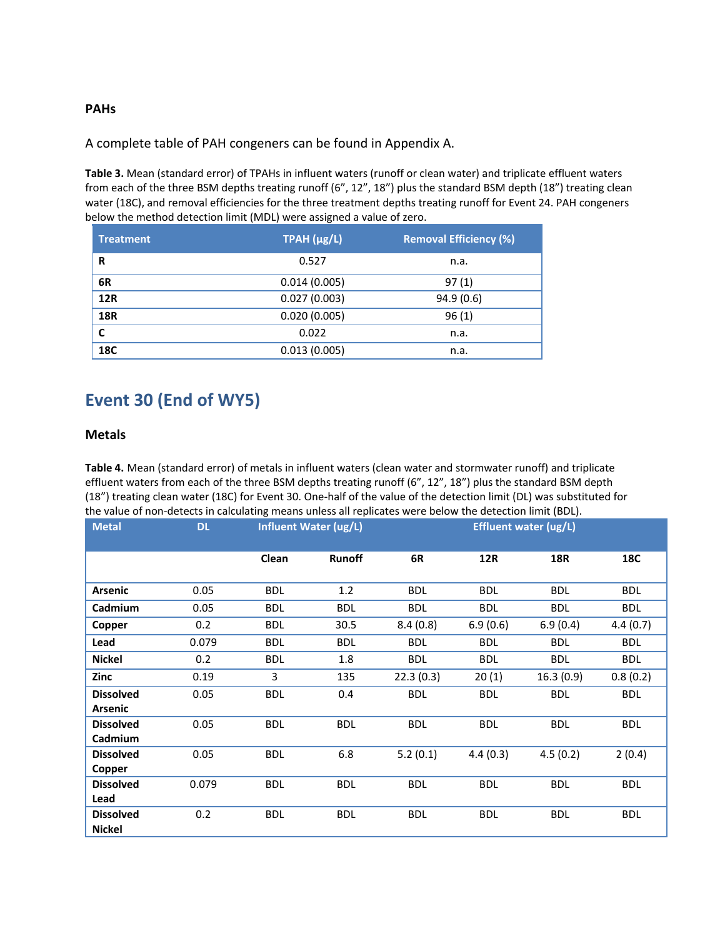#### **PAHs**

A complete table of PAH congeners can be found in Appendix A.

**Table 3.** Mean (standard error) of TPAHs in influent waters (runoff or clean water) and triplicate effluent waters from each of the three BSM depths treating runoff (6", 12", 18") plus the standard BSM depth (18") treating clean water (18C), and removal efficiencies for the three treatment depths treating runoff for Event 24. PAH congeners below the method detection limit (MDL) were assigned a value of zero.

| <b>Treatment</b> | TPAH (µg/L)  | <b>Removal Efficiency (%)</b> |  |  |
|------------------|--------------|-------------------------------|--|--|
| R                | 0.527        | n.a.                          |  |  |
| 6R               | 0.014(0.005) | 97(1)                         |  |  |
| <b>12R</b>       | 0.027(0.003) | 94.9(0.6)                     |  |  |
| <b>18R</b>       | 0.020(0.005) | 96(1)                         |  |  |
| C                | 0.022        | n.a.                          |  |  |
| <b>18C</b>       | 0.013(0.005) | n.a.                          |  |  |

# **Event 30 (End of WY5)**

#### **Metals**

**Table 4.** Mean (standard error) of metals in influent waters (clean water and stormwater runoff) and triplicate effluent waters from each of the three BSM depths treating runoff (6", 12", 18") plus the standard BSM depth (18") treating clean water (18C) for Event 30. One-half of the value of the detection limit (DL) was substituted for the value of non-detects in calculating means unless all replicates were below the detection limit (BDL).

| <b>Metal</b>     | <b>DL</b> |            | <b>Influent Water (ug/L)</b> | <b>Effluent water (ug/L)</b> |            |            |            |
|------------------|-----------|------------|------------------------------|------------------------------|------------|------------|------------|
|                  |           |            |                              |                              |            |            |            |
|                  |           | Clean      | <b>Runoff</b>                | 6R                           | <b>12R</b> | <b>18R</b> | 18C        |
|                  |           |            |                              |                              |            |            |            |
| <b>Arsenic</b>   | 0.05      | <b>BDL</b> | 1.2                          | <b>BDL</b>                   | <b>BDL</b> | <b>BDL</b> | <b>BDL</b> |
| Cadmium          | 0.05      | <b>BDL</b> | <b>BDL</b>                   | <b>BDL</b>                   | <b>BDL</b> | <b>BDL</b> | <b>BDL</b> |
| Copper           | 0.2       | <b>BDL</b> | 30.5                         | 8.4(0.8)                     | 6.9(0.6)   | 6.9(0.4)   | 4.4(0.7)   |
| Lead             | 0.079     | <b>BDL</b> | <b>BDL</b>                   | <b>BDL</b>                   | <b>BDL</b> | <b>BDL</b> | <b>BDL</b> |
| <b>Nickel</b>    | 0.2       | <b>BDL</b> | 1.8                          | <b>BDL</b>                   | <b>BDL</b> | <b>BDL</b> | <b>BDL</b> |
| Zinc             | 0.19      | 3          | 135                          | 22.3(0.3)                    | 20(1)      | 16.3(0.9)  | 0.8(0.2)   |
| <b>Dissolved</b> | 0.05      | <b>BDL</b> | 0.4                          | <b>BDL</b>                   | <b>BDL</b> | <b>BDL</b> | <b>BDL</b> |
| <b>Arsenic</b>   |           |            |                              |                              |            |            |            |
| <b>Dissolved</b> | 0.05      | <b>BDL</b> | <b>BDL</b>                   | <b>BDL</b>                   | <b>BDL</b> | <b>BDL</b> | <b>BDL</b> |
| Cadmium          |           |            |                              |                              |            |            |            |
| <b>Dissolved</b> | 0.05      | <b>BDL</b> | 6.8                          | 5.2(0.1)                     | 4.4(0.3)   | 4.5(0.2)   | 2(0.4)     |
| Copper           |           |            |                              |                              |            |            |            |
| <b>Dissolved</b> | 0.079     | <b>BDL</b> | <b>BDL</b>                   | <b>BDL</b>                   | <b>BDL</b> | <b>BDL</b> | <b>BDL</b> |
| Lead             |           |            |                              |                              |            |            |            |
| <b>Dissolved</b> | 0.2       | <b>BDL</b> | <b>BDL</b>                   | <b>BDL</b>                   | <b>BDL</b> | <b>BDL</b> | <b>BDL</b> |
| <b>Nickel</b>    |           |            |                              |                              |            |            |            |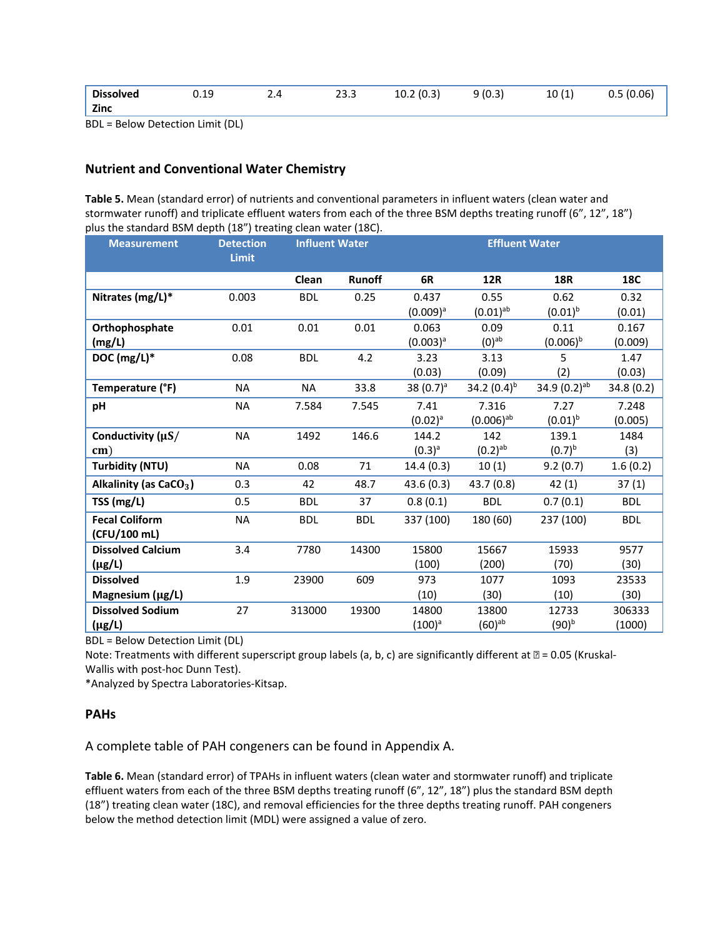| Dissolved | 0.19 | 2.4 | 23.3 | 10.2(0.3) | 9(0.3) | 10(1) | 0.5(0.06) |
|-----------|------|-----|------|-----------|--------|-------|-----------|
| Zinc      |      |     |      |           |        |       |           |

BDL = Below Detection Limit (DL)

#### **Nutrient and Conventional Water Chemistry**

**Table 5.** Mean (standard error) of nutrients and conventional parameters in influent waters (clean water and stormwater runoff) and triplicate effluent waters from each of the three BSM depths treating runoff (6", 12", 18") plus the standard BSM depth (18") treating clean water (18C).

| <b>Measurement</b>       | <b>Detection</b><br><b>Limit</b> | <b>Influent Water</b> |               |              | <b>Effluent Water</b> |                   |            |
|--------------------------|----------------------------------|-----------------------|---------------|--------------|-----------------------|-------------------|------------|
|                          |                                  | Clean                 | <b>Runoff</b> | 6R           | <b>12R</b>            | <b>18R</b>        | 18C        |
| Nitrates (mg/L)*         | 0.003                            | <b>BDL</b>            | 0.25          | 0.437        | 0.55                  | 0.62              | 0.32       |
|                          |                                  |                       |               | $(0.009)^a$  | $(0.01)^{ab}$         | $(0.01)^{b}$      | (0.01)     |
| Orthophosphate           | 0.01                             | 0.01                  | 0.01          | 0.063        | 0.09                  | 0.11              | 0.167      |
| (mg/L)                   |                                  |                       |               | $(0.003)^a$  | $(0)$ <sup>ab</sup>   | $(0.006)^{b}$     | (0.009)    |
| DOC (mg/L)*              | 0.08                             | <b>BDL</b>            | 4.2           | 3.23         | 3.13                  | 5.                | 1.47       |
|                          |                                  |                       |               | (0.03)       | (0.09)                | (2)               | (0.03)     |
| Temperature (°F)         | <b>NA</b>                        | <b>NA</b>             | 33.8          | 38 $(0.7)^a$ | 34.2 $(0.4)^{b}$      | 34.9 $(0.2)^{ab}$ | 34.8 (0.2) |
| pH                       | <b>NA</b>                        | 7.584                 | 7.545         | 7.41         | 7.316                 | 7.27              | 7.248      |
|                          |                                  |                       |               | $(0.02)^a$   | $(0.006)^{ab}$        | $(0.01)^{b}$      | (0.005)    |
| Conductivity (µS/        | <b>NA</b>                        | 1492                  | 146.6         | 144.2        | 142                   | 139.1             | 1484       |
| cm)                      |                                  |                       |               | $(0.3)^{a}$  | $(0.2)$ <sup>ab</sup> | $(0.7)^{b}$       | (3)        |
| <b>Turbidity (NTU)</b>   | <b>NA</b>                        | 0.08                  | 71            | 14.4(0.3)    | 10(1)                 | 9.2(0.7)          | 1.6(0.2)   |
| Alkalinity (as $CaCO3$ ) | 0.3                              | 42                    | 48.7          | 43.6(0.3)    | 43.7 (0.8)            | 42(1)             | 37(1)      |
| TSS (mg/L)               | 0.5                              | <b>BDL</b>            | 37            | 0.8(0.1)     | <b>BDL</b>            | 0.7(0.1)          | <b>BDL</b> |
| <b>Fecal Coliform</b>    | <b>NA</b>                        | <b>BDL</b>            | <b>BDL</b>    | 337 (100)    | 180 (60)              | 237 (100)         | <b>BDL</b> |
| (CFU/100 mL)             |                                  |                       |               |              |                       |                   |            |
| <b>Dissolved Calcium</b> | 3.4                              | 7780                  | 14300         | 15800        | 15667                 | 15933             | 9577       |
| (µg/L)                   |                                  |                       |               | (100)        | (200)                 | (70)              | (30)       |
| <b>Dissolved</b>         | 1.9                              | 23900                 | 609           | 973          | 1077                  | 1093              | 23533      |
| Magnesium (µg/L)         |                                  |                       |               | (10)         | (30)                  | (10)              | (30)       |
| <b>Dissolved Sodium</b>  | 27                               | 313000                | 19300         | 14800        | 13800                 | 12733             | 306333     |
| $(\mu g/L)$              |                                  |                       |               | $(100)^a$    | $(60)^{ab}$           | $(90)^{b}$        | (1000)     |

BDL = Below Detection Limit (DL)

Note: Treatments with different superscript group labels (a, b, c) are significantly different at  $\mathbb{B}$  = 0.05 (Kruskal-Wallis with post-hoc Dunn Test).

\*Analyzed by Spectra Laboratories-Kitsap.

#### **PAHs**

A complete table of PAH congeners can be found in Appendix A.

**Table 6.** Mean (standard error) of TPAHs in influent waters (clean water and stormwater runoff) and triplicate effluent waters from each of the three BSM depths treating runoff (6", 12", 18") plus the standard BSM depth (18") treating clean water (18C), and removal efficiencies for the three depths treating runoff. PAH congeners below the method detection limit (MDL) were assigned a value of zero.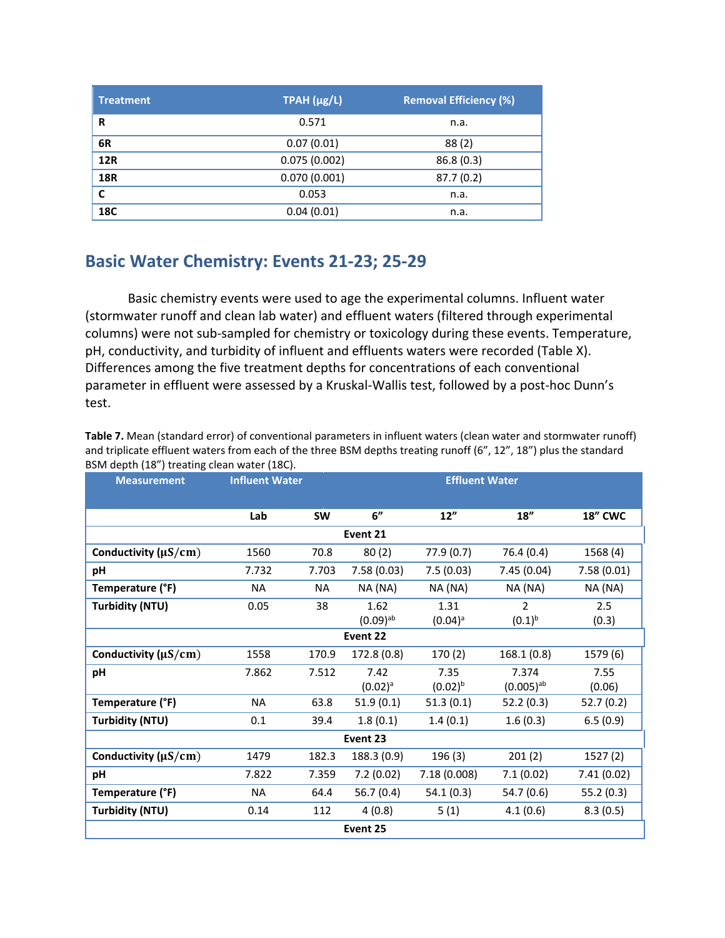| <b>Treatment</b> | TPAH (µg/L)  | <b>Removal Efficiency (%)</b> |  |  |
|------------------|--------------|-------------------------------|--|--|
| R                | 0.571        | n.a.                          |  |  |
| 6R               | 0.07(0.01)   | 88(2)                         |  |  |
| <b>12R</b>       | 0.075(0.002) | 86.8(0.3)                     |  |  |
| <b>18R</b>       | 0.070(0.001) | 87.7(0.2)                     |  |  |
| C                | 0.053        | n.a.                          |  |  |
| 18C              | 0.04(0.01)   | n.a.                          |  |  |

# **Basic Water Chemistry: Events 21-23; 25-29**

Basic chemistry events were used to age the experimental columns. Influent water (stormwater runoff and clean lab water) and effluent waters (filtered through experimental columns) were not sub-sampled for chemistry or toxicology during these events. Temperature, pH, conductivity, and turbidity of influent and effluents waters were recorded (Table X). Differences among the five treatment depths for concentrations of each conventional parameter in effluent were assessed by a Kruskal-Wallis test, followed by a post-hoc Dunn's test.

| BSM depth (18") treating clean water (18C). |                       |           |                        |              |                |                |  |  |  |
|---------------------------------------------|-----------------------|-----------|------------------------|--------------|----------------|----------------|--|--|--|
| <b>Measurement</b>                          | <b>Influent Water</b> |           | <b>Effluent Water</b>  |              |                |                |  |  |  |
|                                             |                       |           |                        |              |                |                |  |  |  |
|                                             | Lab                   | <b>SW</b> | 6"                     | 12"          | 18"            | <b>18" CWC</b> |  |  |  |
| Event 21                                    |                       |           |                        |              |                |                |  |  |  |
| Conductivity ( $\mu S/cm$ )                 | 1560                  | 70.8      | 80(2)                  | 77.9(0.7)    | 76.4 (0.4)     | 1568 (4)       |  |  |  |
| рH                                          | 7.732                 | 7.703     | 7.58(0.03)             | 7.5(0.03)    | 7.45(0.04)     | 7.58(0.01)     |  |  |  |
| Temperature (°F)                            | NA                    | <b>NA</b> | NA (NA)                | NA (NA)      | NA (NA)        | NA (NA)        |  |  |  |
| <b>Turbidity (NTU)</b>                      | 0.05                  | 38        | 1.62                   | 1.31         | $\mathfrak{D}$ | 2.5            |  |  |  |
|                                             |                       |           | $(0.09)$ <sup>ab</sup> | $(0.04)^a$   | $(0.1)^{b}$    | (0.3)          |  |  |  |
|                                             |                       |           | Event 22               |              |                |                |  |  |  |
| Conductivity ( $\mu S/cm$ )                 | 1558                  | 170.9     | 172.8 (0.8)            | 170(2)       | 168.1(0.8)     | 1579 (6)       |  |  |  |
| рH                                          | 7.862                 | 7.512     | 7.42                   | 7.35         | 7.374          | 7.55           |  |  |  |
|                                             |                       |           | $(0.02)^a$             | $(0.02)^{b}$ | $(0.005)^{ab}$ | (0.06)         |  |  |  |
| Temperature (°F)                            | <b>NA</b>             | 63.8      | 51.9(0.1)              | 51.3(0.1)    | 52.2(0.3)      | 52.7(0.2)      |  |  |  |
| <b>Turbidity (NTU)</b>                      | 0.1                   | 39.4      | 1.8(0.1)               | 1.4(0.1)     | 1.6(0.3)       | 6.5(0.9)       |  |  |  |
|                                             |                       |           | Event 23               |              |                |                |  |  |  |
| Conductivity ( $\mu S/cm$ )                 | 1479                  | 182.3     | 188.3 (0.9)            | 196(3)       | 201(2)         | 1527(2)        |  |  |  |
| pH                                          | 7.822                 | 7.359     | 7.2(0.02)              | 7.18 (0.008) | 7.1(0.02)      | 7.41(0.02)     |  |  |  |
| Temperature (°F)                            | <b>NA</b>             | 64.4      | 56.7(0.4)              | 54.1(0.3)    | 54.7(0.6)      | 55.2(0.3)      |  |  |  |
| <b>Turbidity (NTU)</b>                      | 0.14                  | 112       | 4(0.8)                 | 5(1)         | 4.1(0.6)       | 8.3(0.5)       |  |  |  |
|                                             |                       |           | Event 25               |              |                |                |  |  |  |

**Table 7.** Mean (standard error) of conventional parameters in influent waters (clean water and stormwater runoff) and triplicate effluent waters from each of the three BSM depths treating runoff (6", 12", 18") plus the standard<br>RSM dapth (19") treating clean water (196)  $BCHA$  depth  $(10<sup>1</sup>)$  treating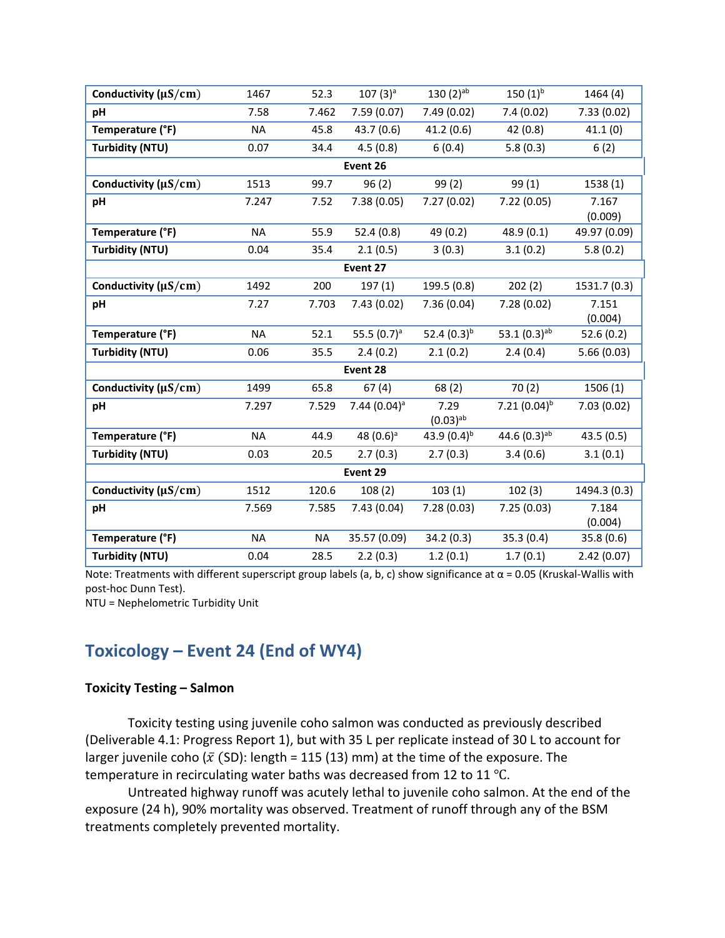| Conductivity ( $\mu$ S/cm) | 1467      | 52.3      | $107(3)$ <sup>a</sup> | $130(2)$ <sup>ab</sup> | $150(1)^{b}$               | 1464(4)      |
|----------------------------|-----------|-----------|-----------------------|------------------------|----------------------------|--------------|
|                            |           |           |                       |                        |                            |              |
| pH                         | 7.58      | 7.462     | 7.59(0.07)            | 7.49 (0.02)            | 7.4(0.02)                  | 7.33(0.02)   |
| Temperature (°F)           | NA        | 45.8      | 43.7(0.6)             | 41.2(0.6)              | 42 (0.8)                   | 41.1(0)      |
| <b>Turbidity (NTU)</b>     | 0.07      | 34.4      | 4.5(0.8)              | 6(0.4)                 | 5.8(0.3)                   | 6(2)         |
|                            |           |           | Event 26              |                        |                            |              |
| Conductivity ( $\mu$ S/cm) | 1513      | 99.7      | 96(2)                 | 99(2)                  | 99 (1)                     | 1538 (1)     |
| pH                         | 7.247     | 7.52      | 7.38(0.05)            | 7.27(0.02)             | 7.22(0.05)                 | 7.167        |
|                            |           |           |                       |                        |                            | (0.009)      |
| Temperature (°F)           | <b>NA</b> | 55.9      | 52.4(0.8)             | 49 (0.2)               | 48.9(0.1)                  | 49.97 (0.09) |
| <b>Turbidity (NTU)</b>     | 0.04      | 35.4      | 2.1(0.5)              | 3(0.3)                 | 3.1(0.2)                   | 5.8(0.2)     |
|                            |           |           | Event 27              |                        |                            |              |
| Conductivity ( $\mu$ S/cm) | 1492      | 200       | 197(1)                | 199.5 (0.8)            | 202(2)                     | 1531.7 (0.3) |
| pH                         | 7.27      | 7.703     | 7.43(0.02)            | 7.36(0.04)             | 7.28(0.02)                 | 7.151        |
|                            |           |           |                       |                        |                            | (0.004)      |
| Temperature (°F)           | <b>NA</b> | 52.1      | 55.5 $(0.7)^a$        | 52.4 $(0.3)^{b}$       | 53.1 $(0.3)$ <sup>ab</sup> | 52.6(0.2)    |
| <b>Turbidity (NTU)</b>     | 0.06      | 35.5      | 2.4(0.2)              | 2.1(0.2)               | 2.4(0.4)                   | 5.66(0.03)   |
|                            |           |           | Event 28              |                        |                            |              |
| Conductivity ( $\mu$ S/cm) | 1499      | 65.8      | 67(4)                 | 68(2)                  | 70(2)                      | 1506(1)      |
| pH                         | 7.297     | 7.529     | $7.44(0.04)^a$        | 7.29                   | 7.21 $(0.04)^{b}$          | 7.03(0.02)   |
|                            |           |           |                       | $(0.03)^{ab}$          |                            |              |
| Temperature (°F)           | <b>NA</b> | 44.9      | 48 $(0.6)^a$          | 43.9 $(0.4)^{b}$       | 44.6 $(0.3)^{ab}$          | 43.5(0.5)    |
| <b>Turbidity (NTU)</b>     | 0.03      | 20.5      | 2.7(0.3)              | 2.7(0.3)               | 3.4(0.6)                   | 3.1(0.1)     |
|                            |           |           | Event 29              |                        |                            |              |
| Conductivity ( $\mu$ S/cm) | 1512      | 120.6     | 108(2)                | 103(1)                 | 102(3)                     | 1494.3 (0.3) |
| pH                         | 7.569     | 7.585     | 7.43(0.04)            | 7.28(0.03)             | 7.25(0.03)                 | 7.184        |
|                            |           |           |                       |                        |                            | (0.004)      |
| Temperature (°F)           | <b>NA</b> | <b>NA</b> | 35.57 (0.09)          | 34.2 (0.3)             | 35.3(0.4)                  | 35.8(0.6)    |
| <b>Turbidity (NTU)</b>     | 0.04      | 28.5      | 2.2(0.3)              | 1.2(0.1)               | 1.7(0.1)                   | 2.42(0.07)   |

Note: Treatments with different superscript group labels (a, b, c) show significance at  $\alpha$  = 0.05 (Kruskal-Wallis with post-hoc Dunn Test).

NTU = Nephelometric Turbidity Unit

# **Toxicology – Event 24 (End of WY4)**

### **Toxicity Testing – Salmon**

Toxicity testing using juvenile coho salmon was conducted as previously described (Deliverable 4.1: Progress Report 1), but with 35 L per replicate instead of 30 L to account for larger juvenile coho ( $\bar{x}$  (SD): length = 115 (13) mm) at the time of the exposure. The temperature in recirculating water baths was decreased from 12 to 11 ℃.

Untreated highway runoff was acutely lethal to juvenile coho salmon. At the end of the exposure (24 h), 90% mortality was observed. Treatment of runoff through any of the BSM treatments completely prevented mortality.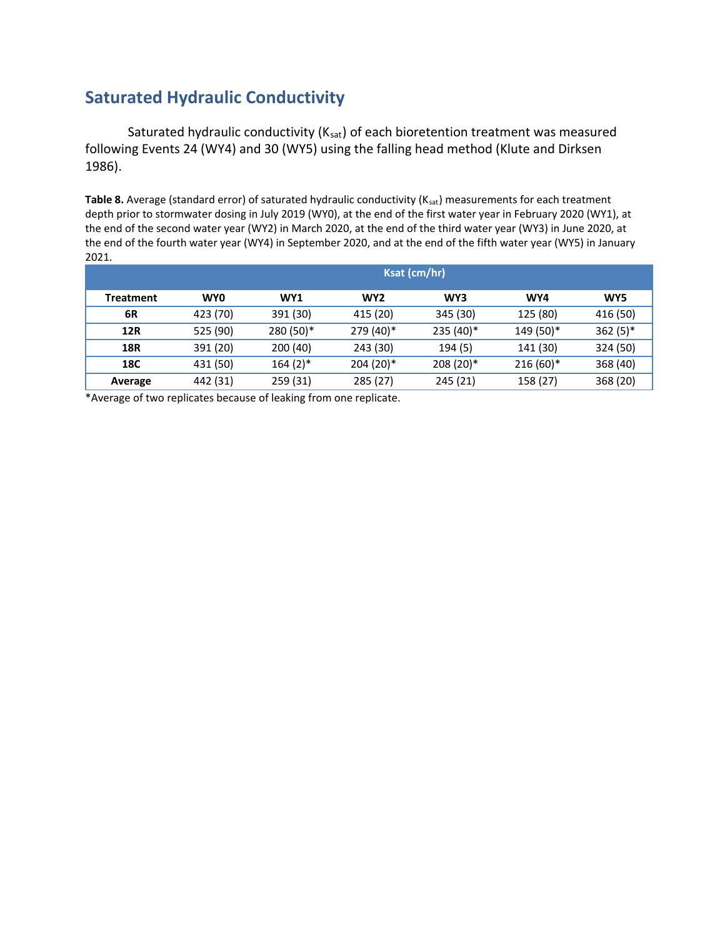# **Saturated Hydraulic Conductivity**

Saturated hydraulic conductivity  $(K_{sat})$  of each bioretention treatment was measured following Events 24 (WY4) and 30 (WY5) using the falling head method (Klute and Dirksen 1986).

Table 8. Average (standard error) of saturated hydraulic conductivity (K<sub>sat</sub>) measurements for each treatment depth prior to stormwater dosing in July 2019 (WY0), at the end of the first water year in February 2020 (WY1), at the end of the second water year (WY2) in March 2020, at the end of the third water year (WY3) in June 2020, at the end of the fourth water year (WY4) in September 2020, and at the end of the fifth water year (WY5) in January 2021.

|                  | Ksat (cm/hr) |                 |                 |           |            |            |  |  |  |
|------------------|--------------|-----------------|-----------------|-----------|------------|------------|--|--|--|
| <b>Treatment</b> | <b>WY0</b>   | WY <sub>1</sub> | WY <sub>2</sub> | WY3       | WY4        | WY5        |  |  |  |
| 6R               | 423 (70)     | 391 (30)        | 415 (20)        | 345 (30)  | 125 (80)   | 416 (50)   |  |  |  |
| <b>12R</b>       | 525 (90)     | 280 (50)*       | 279 (40)*       | 235 (40)* | 149 (50)*  | $362(5)$ * |  |  |  |
| <b>18R</b>       | 391 (20)     | 200(40)         | 243 (30)        | 194(5)    | 141 (30)   | 324 (50)   |  |  |  |
| 18C              | 431 (50)     | $164(2)$ *      | $204(20)*$      | 208 (20)* | $216(60)*$ | 368 (40)   |  |  |  |
| Average          | 442 (31)     | 259 (31)        | 285(27)         | 245 (21)  | 158 (27)   | 368 (20)   |  |  |  |

\*Average of two replicates because of leaking from one replicate.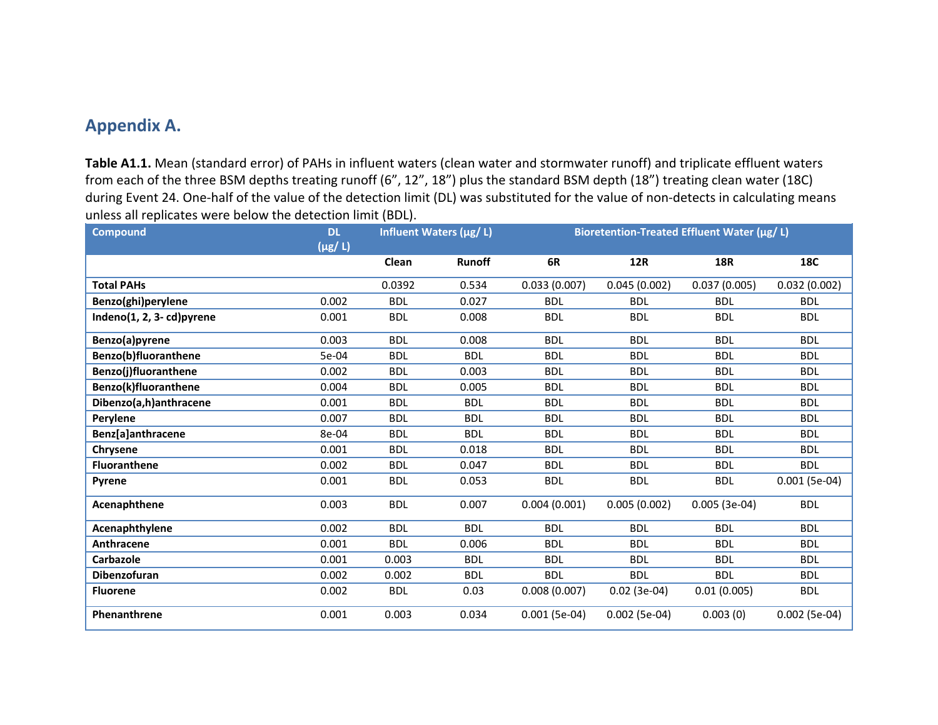## **Appendix A.**

**Table A1.1.** Mean (standard error) of PAHs in influent waters (clean water and stormwater runoff) and triplicate effluent waters from each of the three BSM depths treating runoff (6", 12", 18") plus the standard BSM depth (18") treating clean water (18C) during Event 24. One-half of the value of the detection limit (DL) was substituted for the value of non-detects in calculating means unless all replicates were below the detection limit (BDL).

| <b>Compound</b>                | <b>DL</b><br>$(\mu g/L)$ | Influent Waters (ug/ L) |               | Bioretention-Treated Effluent Water (µg/ L) |                 |                |                 |
|--------------------------------|--------------------------|-------------------------|---------------|---------------------------------------------|-----------------|----------------|-----------------|
|                                |                          | Clean                   | <b>Runoff</b> | 6R                                          | <b>12R</b>      | <b>18R</b>     | <b>18C</b>      |
| <b>Total PAHs</b>              |                          | 0.0392                  | 0.534         | 0.033(0.007)                                | 0.045(0.002)    | 0.037(0.005)   | 0.032(0.002)    |
| Benzo(ghi)perylene             | 0.002                    | <b>BDL</b>              | 0.027         | <b>BDL</b>                                  | <b>BDL</b>      | <b>BDL</b>     | <b>BDL</b>      |
| Indeno $(1, 2, 3 - cd)$ pyrene | 0.001                    | <b>BDL</b>              | 0.008         | <b>BDL</b>                                  | <b>BDL</b>      | <b>BDL</b>     | <b>BDL</b>      |
| Benzo(a)pyrene                 | 0.003                    | <b>BDL</b>              | 0.008         | <b>BDL</b>                                  | <b>BDL</b>      | <b>BDL</b>     | <b>BDL</b>      |
| Benzo(b)fluoranthene           | 5e-04                    | <b>BDL</b>              | <b>BDL</b>    | <b>BDL</b>                                  | <b>BDL</b>      | <b>BDL</b>     | <b>BDL</b>      |
| Benzo(j)fluoranthene           | 0.002                    | <b>BDL</b>              | 0.003         | <b>BDL</b>                                  | <b>BDL</b>      | <b>BDL</b>     | <b>BDL</b>      |
| Benzo(k)fluoranthene           | 0.004                    | <b>BDL</b>              | 0.005         | <b>BDL</b>                                  | <b>BDL</b>      | <b>BDL</b>     | <b>BDL</b>      |
| Dibenzo(a,h)anthracene         | 0.001                    | <b>BDL</b>              | <b>BDL</b>    | <b>BDL</b>                                  | <b>BDL</b>      | <b>BDL</b>     | <b>BDL</b>      |
| Perylene                       | 0.007                    | <b>BDL</b>              | <b>BDL</b>    | <b>BDL</b>                                  | <b>BDL</b>      | <b>BDL</b>     | <b>BDL</b>      |
| Benz[a]anthracene              | 8e-04                    | <b>BDL</b>              | <b>BDL</b>    | <b>BDL</b>                                  | <b>BDL</b>      | <b>BDL</b>     | <b>BDL</b>      |
| Chrysene                       | 0.001                    | <b>BDL</b>              | 0.018         | <b>BDL</b>                                  | <b>BDL</b>      | <b>BDL</b>     | <b>BDL</b>      |
| <b>Fluoranthene</b>            | 0.002                    | <b>BDL</b>              | 0.047         | <b>BDL</b>                                  | <b>BDL</b>      | <b>BDL</b>     | <b>BDL</b>      |
| Pyrene                         | 0.001                    | <b>BDL</b>              | 0.053         | <b>BDL</b>                                  | <b>BDL</b>      | <b>BDL</b>     | $0.001$ (5e-04) |
| Acenaphthene                   | 0.003                    | <b>BDL</b>              | 0.007         | 0.004(0.001)                                | 0.005(0.002)    | $0.005(3e-04)$ | <b>BDL</b>      |
| Acenaphthylene                 | 0.002                    | <b>BDL</b>              | <b>BDL</b>    | <b>BDL</b>                                  | <b>BDL</b>      | <b>BDL</b>     | <b>BDL</b>      |
| Anthracene                     | 0.001                    | <b>BDL</b>              | 0.006         | <b>BDL</b>                                  | <b>BDL</b>      | <b>BDL</b>     | <b>BDL</b>      |
| <b>Carbazole</b>               | 0.001                    | 0.003                   | <b>BDL</b>    | <b>BDL</b>                                  | <b>BDL</b>      | <b>BDL</b>     | <b>BDL</b>      |
| Dibenzofuran                   | 0.002                    | 0.002                   | <b>BDL</b>    | <b>BDL</b>                                  | <b>BDL</b>      | <b>BDL</b>     | <b>BDL</b>      |
| <b>Fluorene</b>                | 0.002                    | <b>BDL</b>              | 0.03          | 0.008(0.007)                                | $0.02$ (3e-04)  | 0.01(0.005)    | <b>BDL</b>      |
| Phenanthrene                   | 0.001                    | 0.003                   | 0.034         | $0.001$ (5e-04)                             | $0.002$ (5e-04) | 0.003(0)       | $0.002$ (5e-04) |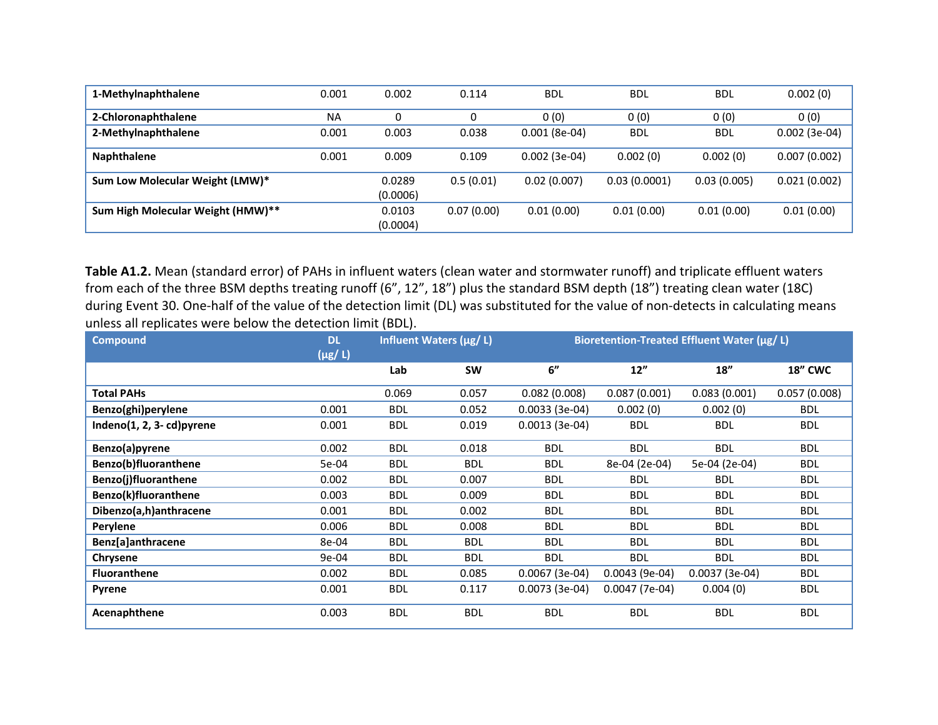| 1-Methylnaphthalene               | 0.001     | 0.002              | 0.114      | <b>BDL</b>      | <b>BDL</b>   | <b>BDL</b>  | 0.002(0)        |
|-----------------------------------|-----------|--------------------|------------|-----------------|--------------|-------------|-----------------|
| 2-Chloronaphthalene               | <b>NA</b> | 0                  |            | 0(0)            | 0(0)         | 0(0)        | 0(0)            |
| 2-Methylnaphthalene               | 0.001     | 0.003              | 0.038      | $0.001(8e-04)$  | <b>BDL</b>   | <b>BDL</b>  | $0.002$ (3e-04) |
| <b>Naphthalene</b>                | 0.001     | 0.009              | 0.109      | $0.002$ (3e-04) | 0.002(0)     | 0.002(0)    | 0.007(0.002)    |
| Sum Low Molecular Weight (LMW)*   |           | 0.0289<br>(0.0006) | 0.5(0.01)  | 0.02(0.007)     | 0.03(0.0001) | 0.03(0.005) | 0.021(0.002)    |
| Sum High Molecular Weight (HMW)** |           | 0.0103<br>(0.0004) | 0.07(0.00) | 0.01(0.00)      | 0.01(0.00)   | 0.01(0.00)  | 0.01(0.00)      |

**Table A1.2.** Mean (standard error) of PAHs in influent waters (clean water and stormwater runoff) and triplicate effluent waters from each of the three BSM depths treating runoff (6", 12", 18") plus the standard BSM depth (18") treating clean water (18C) during Event 30. One-half of the value of the detection limit (DL) was substituted for the value of non-detects in calculating means unless all replicates were below the detection limit (BDL).

| <b>Compound</b>                | <b>DL</b><br>$(\mu g/L)$ | Influent Waters (µg/ L) |            | Bioretention-Treated Effluent Water (µg/ L) |                 |                 |                |
|--------------------------------|--------------------------|-------------------------|------------|---------------------------------------------|-----------------|-----------------|----------------|
|                                |                          | Lab                     | <b>SW</b>  | 6"                                          | 12"             | 18''            | <b>18" CWC</b> |
| <b>Total PAHs</b>              |                          | 0.069                   | 0.057      | 0.082(0.008)                                | 0.087(0.001)    | 0.083(0.001)    | 0.057(0.008)   |
| Benzo(ghi)perylene             | 0.001                    | <b>BDL</b>              | 0.052      | $0.0033(3e-04)$                             | 0.002(0)        | 0.002(0)        | <b>BDL</b>     |
| Indeno $(1, 2, 3 - cd)$ pyrene | 0.001                    | <b>BDL</b>              | 0.019      | $0.0013(3e-04)$                             | <b>BDL</b>      | <b>BDL</b>      | <b>BDL</b>     |
| Benzo(a)pyrene                 | 0.002                    | <b>BDL</b>              | 0.018      | <b>BDL</b>                                  | <b>BDL</b>      | <b>BDL</b>      | <b>BDL</b>     |
| Benzo(b)fluoranthene           | 5e-04                    | <b>BDL</b>              | <b>BDL</b> | <b>BDL</b>                                  | 8e-04 (2e-04)   | 5e-04 (2e-04)   | <b>BDL</b>     |
| Benzo(j)fluoranthene           | 0.002                    | <b>BDL</b>              | 0.007      | <b>BDL</b>                                  | <b>BDL</b>      | <b>BDL</b>      | <b>BDL</b>     |
| Benzo(k)fluoranthene           | 0.003                    | <b>BDL</b>              | 0.009      | <b>BDL</b>                                  | <b>BDL</b>      | <b>BDL</b>      | <b>BDL</b>     |
| Dibenzo(a,h)anthracene         | 0.001                    | <b>BDL</b>              | 0.002      | <b>BDL</b>                                  | <b>BDL</b>      | <b>BDL</b>      | <b>BDL</b>     |
| Perylene                       | 0.006                    | <b>BDL</b>              | 0.008      | <b>BDL</b>                                  | <b>BDL</b>      | <b>BDL</b>      | <b>BDL</b>     |
| Benz[a]anthracene              | 8e-04                    | <b>BDL</b>              | <b>BDL</b> | <b>BDL</b>                                  | <b>BDL</b>      | <b>BDL</b>      | <b>BDL</b>     |
| Chrysene                       | 9e-04                    | <b>BDL</b>              | <b>BDL</b> | <b>BDL</b>                                  | <b>BDL</b>      | <b>BDL</b>      | <b>BDL</b>     |
| <b>Fluoranthene</b>            | 0.002                    | <b>BDL</b>              | 0.085      | $0.0067(3e-04)$                             | $0.0043(9e-04)$ | $0.0037(3e-04)$ | <b>BDL</b>     |
| Pyrene                         | 0.001                    | <b>BDL</b>              | 0.117      | $0.0073(3e-04)$                             | $0.0047(7e-04)$ | 0.004(0)        | <b>BDL</b>     |
| Acenaphthene                   | 0.003                    | <b>BDL</b>              | <b>BDL</b> | <b>BDL</b>                                  | <b>BDL</b>      | <b>BDL</b>      | <b>BDL</b>     |